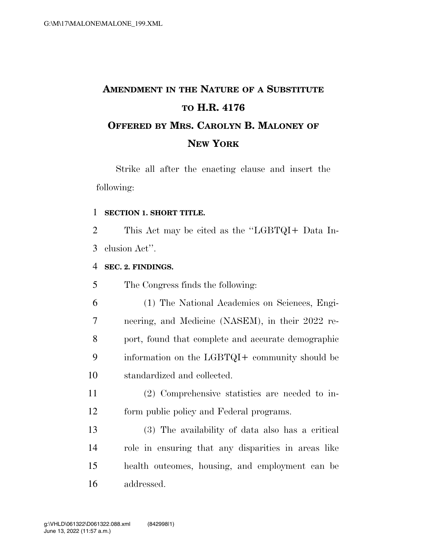# **AMENDMENT IN THE NATURE OF A SUBSTITUTE TO H.R. 4176 OFFERED BY MRS. CAROLYN B. MALONEY OF NEW YORK**

Strike all after the enacting clause and insert the following:

#### **SECTION 1. SHORT TITLE.**

 This Act may be cited as the ''LGBTQI+ Data In-clusion Act''.

#### **SEC. 2. FINDINGS.**

The Congress finds the following:

- (1) The National Academies on Sciences, Engi- neering, and Medicine (NASEM), in their 2022 re- port, found that complete and accurate demographic information on the LGBTQI+ community should be standardized and collected.
- (2) Comprehensive statistics are needed to in-form public policy and Federal programs.
- (3) The availability of data also has a critical role in ensuring that any disparities in areas like health outcomes, housing, and employment can be addressed.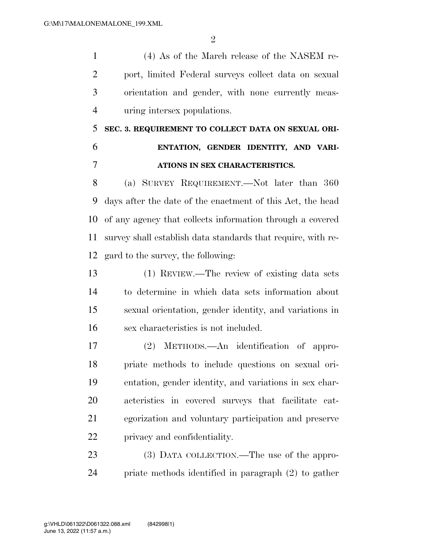$\mathfrak{D}$ 

 (4) As of the March release of the NASEM re- port, limited Federal surveys collect data on sexual orientation and gender, with none currently meas-uring intersex populations.

## **SEC. 3. REQUIREMENT TO COLLECT DATA ON SEXUAL ORI- ENTATION, GENDER IDENTITY, AND VARI-ATIONS IN SEX CHARACTERISTICS.**

 (a) SURVEY REQUIREMENT.—Not later than 360 days after the date of the enactment of this Act, the head of any agency that collects information through a covered survey shall establish data standards that require, with re-gard to the survey, the following:

 (1) REVIEW.—The review of existing data sets to determine in which data sets information about sexual orientation, gender identity, and variations in sex characteristics is not included.

 (2) METHODS.—An identification of appro- priate methods to include questions on sexual ori- entation, gender identity, and variations in sex char- acteristics in covered surveys that facilitate cat- egorization and voluntary participation and preserve privacy and confidentiality.

23 (3) DATA COLLECTION.—The use of the appro-priate methods identified in paragraph (2) to gather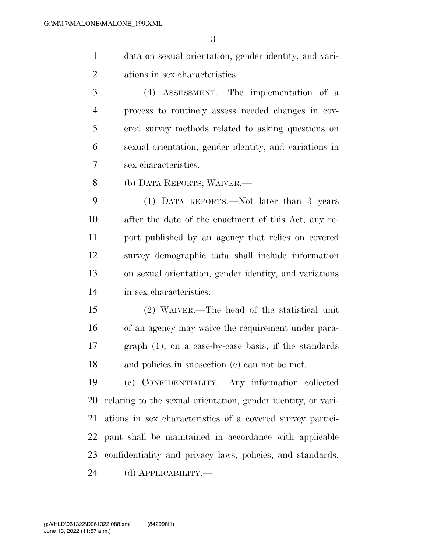data on sexual orientation, gender identity, and vari-ations in sex characteristics.

 (4) ASSESSMENT.—The implementation of a process to routinely assess needed changes in cov- ered survey methods related to asking questions on sexual orientation, gender identity, and variations in sex characteristics.

(b) DATA REPORTS; WAIVER.—

 (1) DATA REPORTS.—Not later than 3 years after the date of the enactment of this Act, any re- port published by an agency that relies on covered survey demographic data shall include information on sexual orientation, gender identity, and variations in sex characteristics.

 (2) WAIVER.—The head of the statistical unit of an agency may waive the requirement under para- graph (1), on a case-by-case basis, if the standards and policies in subsection (c) can not be met.

 (c) CONFIDENTIALITY.—Any information collected relating to the sexual orientation, gender identity, or vari- ations in sex characteristics of a covered survey partici- pant shall be maintained in accordance with applicable confidentiality and privacy laws, policies, and standards. (d) APPLICABILITY.—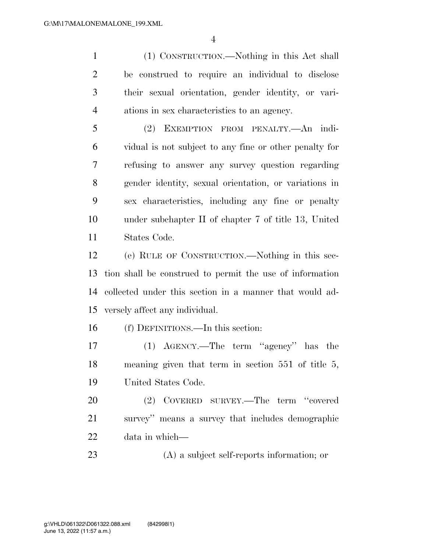(1) CONSTRUCTION.—Nothing in this Act shall be construed to require an individual to disclose their sexual orientation, gender identity, or vari-ations in sex characteristics to an agency.

 (2) EXEMPTION FROM PENALTY.—An indi- vidual is not subject to any fine or other penalty for refusing to answer any survey question regarding gender identity, sexual orientation, or variations in sex characteristics, including any fine or penalty under subchapter II of chapter 7 of title 13, United States Code.

 (e) RULE OF CONSTRUCTION.—Nothing in this sec- tion shall be construed to permit the use of information collected under this section in a manner that would ad-versely affect any individual.

(f) DEFINITIONS.—In this section:

 (1) AGENCY.—The term ''agency'' has the meaning given that term in section 551 of title 5, United States Code.

 (2) COVERED SURVEY.—The term ''covered survey'' means a survey that includes demographic data in which—

(A) a subject self-reports information; or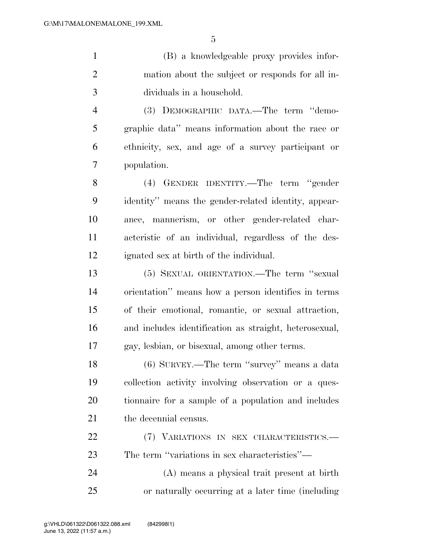(B) a knowledgeable proxy provides infor- mation about the subject or responds for all in-dividuals in a household.

 (3) DEMOGRAPHIC DATA.—The term ''demo- graphic data'' means information about the race or ethnicity, sex, and age of a survey participant or population.

 (4) GENDER IDENTITY.—The term ''gender identity'' means the gender-related identity, appear- ance, mannerism, or other gender-related char- acteristic of an individual, regardless of the des-ignated sex at birth of the individual.

 (5) SEXUAL ORIENTATION.—The term ''sexual orientation'' means how a person identifies in terms of their emotional, romantic, or sexual attraction, and includes identification as straight, heterosexual, gay, lesbian, or bisexual, among other terms.

 (6) SURVEY.—The term ''survey'' means a data collection activity involving observation or a ques- tionnaire for a sample of a population and includes 21 the decennial census.

 (7) VARIATIONS IN SEX CHARACTERISTICS.— The term ''variations in sex characteristics''—

 (A) means a physical trait present at birth or naturally occurring at a later time (including